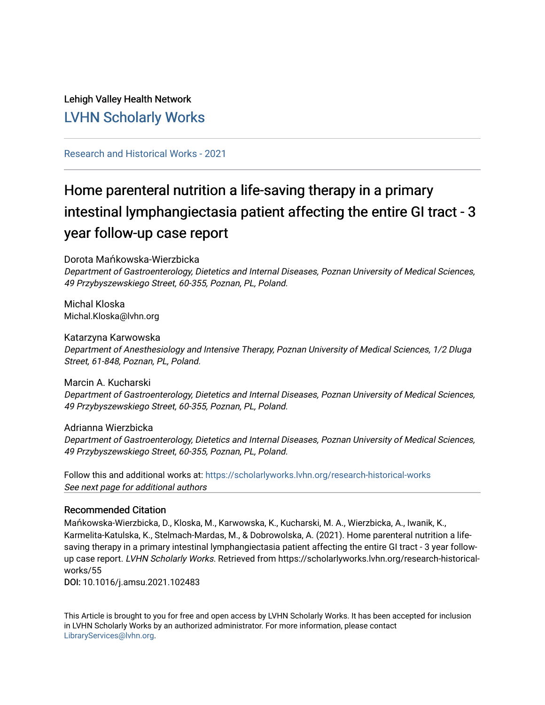# Lehigh Valley Health Network [LVHN Scholarly Works](https://scholarlyworks.lvhn.org/)

# [Research and Historical Works - 2021](https://scholarlyworks.lvhn.org/research-historical-works)

# Home parenteral nutrition a life-saving therapy in a primary intestinal lymphangiectasia patient affecting the entire GI tract - 3 year follow-up case report

Dorota Mańkowska-Wierzbicka

Department of Gastroenterology, Dietetics and Internal Diseases, Poznan University of Medical Sciences, 49 Przybyszewskiego Street, 60-355, Poznan, PL, Poland.

Michal Kloska Michal.Kloska@lvhn.org

Katarzyna Karwowska Department of Anesthesiology and Intensive Therapy, Poznan University of Medical Sciences, 1/2 Dluga Street, 61-848, Poznan, PL, Poland.

Marcin A. Kucharski Department of Gastroenterology, Dietetics and Internal Diseases, Poznan University of Medical Sciences, 49 Przybyszewskiego Street, 60-355, Poznan, PL, Poland.

Adrianna Wierzbicka Department of Gastroenterology, Dietetics and Internal Diseases, Poznan University of Medical Sciences, 49 Przybyszewskiego Street, 60-355, Poznan, PL, Poland.

See next page for additional authors Follow this and additional works at: [https://scholarlyworks.lvhn.org/research-historical-works](https://scholarlyworks.lvhn.org/research-historical-works?utm_source=scholarlyworks.lvhn.org%2Fresearch-historical-works%2F55&utm_medium=PDF&utm_campaign=PDFCoverPages)

## Recommended Citation

Mańkowska-Wierzbicka, D., Kloska, M., Karwowska, K., Kucharski, M. A., Wierzbicka, A., Iwanik, K., Karmelita-Katulska, K., Stelmach-Mardas, M., & Dobrowolska, A. (2021). Home parenteral nutrition a lifesaving therapy in a primary intestinal lymphangiectasia patient affecting the entire GI tract - 3 year followup case report. LVHN Scholarly Works. Retrieved from https://scholarlyworks.lvhn.org/research-historicalworks/55

DOI: 10.1016/j.amsu.2021.102483

This Article is brought to you for free and open access by LVHN Scholarly Works. It has been accepted for inclusion in LVHN Scholarly Works by an authorized administrator. For more information, please contact [LibraryServices@lvhn.org](mailto:LibraryServices@lvhn.org).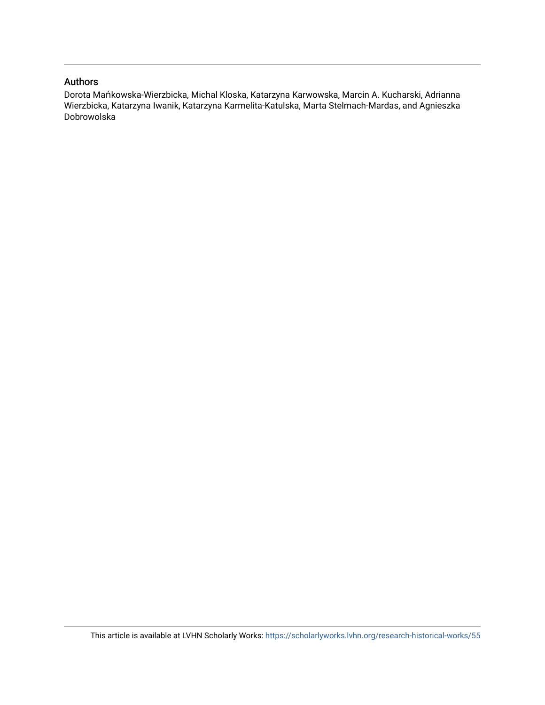## Authors

Dorota Mańkowska-Wierzbicka, Michal Kloska, Katarzyna Karwowska, Marcin A. Kucharski, Adrianna Wierzbicka, Katarzyna Iwanik, Katarzyna Karmelita-Katulska, Marta Stelmach-Mardas, and Agnieszka Dobrowolska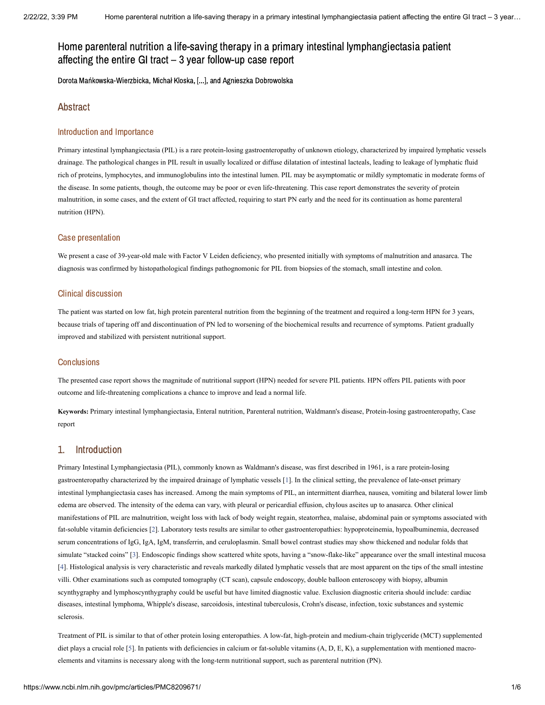# Home parenteral nutrition a life-saving therapy in a primary intestinal lymphangiectasia patient affecting the entire GI tract – 3 year follow-up case report

Dorota Mańkowska-Wierzbicka, Michał Kloska, [...], and Agnieszka Dobrowolska

### Abstract

### Introduction and Importance

Primary intestinal lymphangiectasia (PIL) is a rare protein-losing gastroenteropathy of unknown etiology, characterized by impaired lymphatic vessels drainage. The pathological changes in PIL result in usually localized or diffuse dilatation of intestinal lacteals, leading to leakage of lymphatic fluid rich of proteins, lymphocytes, and immunoglobulins into the intestinal lumen. PIL may be asymptomatic or mildly symptomatic in moderate forms of the disease. In some patients, though, the outcome may be poor or even life-threatening. This case report demonstrates the severity of protein malnutrition, in some cases, and the extent of GI tract affected, requiring to start PN early and the need for its continuation as home parenteral nutrition (HPN).

### Case presentation

We present a case of 39-year-old male with Factor V Leiden deficiency, who presented initially with symptoms of malnutrition and anasarca. The diagnosis was confirmed by histopathological findings pathognomonic for PIL from biopsies of the stomach, small intestine and colon.

### Clinical discussion

The patient was started on low fat, high protein parenteral nutrition from the beginning of the treatment and required a long-term HPN for 3 years, because trials of tapering off and discontinuation of PN led to worsening of the biochemical results and recurrence of symptoms. Patient gradually improved and stabilized with persistent nutritional support.

### **Conclusions**

The presented case report shows the magnitude of nutritional support (HPN) needed for severe PIL patients. HPN offers PIL patients with poor outcome and life-threatening complications a chance to improve and lead a normal life.

**Keywords:** Primary intestinal lymphangiectasia, Enteral nutrition, Parenteral nutrition, Waldmann's disease, Protein-losing gastroenteropathy, Case report

### 1. Introduction

Primary Intestinal Lymphangiectasia (PIL), commonly known as Waldmann's disease, was first described in 1961, is a rare protein-losing gastroenteropathy characterized by the impaired drainage of lymphatic vessels [[1](#page-6-0)]. In the clinical setting, the prevalence of late-onset primary intestinal lymphangiectasia cases has increased. Among the main symptoms of PIL, an intermittent diarrhea, nausea, vomiting and bilateral lower limb edema are observed. The intensity of the edema can vary, with pleural or pericardial effusion, chylous ascites up to anasarca. Other clinical manifestations of PIL are malnutrition, weight loss with lack of body weight regain, steatorrhea, malaise, abdominal pain or symptoms associated with fat-soluble vitamin deficiencies [[2](#page-6-1)]. Laboratory tests results are similar to other gastroenteropathies: hypoproteinemia, hypoalbuminemia, decreased serum concentrations of IgG, IgA, IgM, transferrin, and ceruloplasmin. Small bowel contrast studies may show thickened and nodular folds that simulate "stacked coins" [[3\]](#page-6-2). Endoscopic findings show scattered white spots, having a "snow-flake-like" appearance over the small intestinal mucosa [[4\]](#page-6-3). Histological analysis is very characteristic and reveals markedly dilated lymphatic vessels that are most apparent on the tips of the small intestine villi. Other examinations such as computed tomography (CT scan), capsule endoscopy, double balloon enteroscopy with biopsy, albumin scynthygraphy and lymphoscynthygraphy could be useful but have limited diagnostic value. Exclusion diagnostic criteria should include: cardiac diseases, intestinal lymphoma, Whipple's disease, sarcoidosis, intestinal tuberculosis, Crohn's disease, infection, toxic substances and systemic sclerosis.

Treatment of PIL is similar to that of other protein losing enteropathies. A low-fat, high-protein and medium-chain triglyceride (MCT) supplemented diet plays a crucial role [\[5](#page-6-4)]. In patients with deficiencies in calcium or fat-soluble vitamins (A, D, E, K), a supplementation with mentioned macroelements and vitamins is necessary along with the long-term nutritional support, such as parenteral nutrition (PN).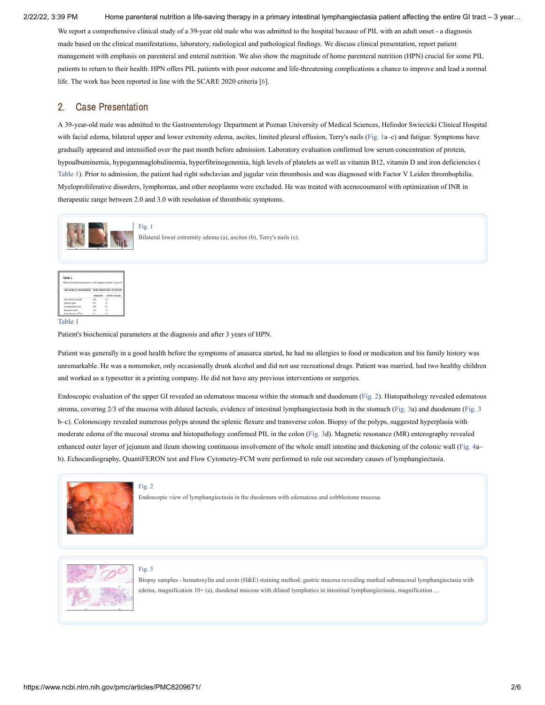We report a comprehensive clinical study of a 39-year old male who was admitted to the hospital because of PIL with an adult onset - a diagnosis made based on the clinical manifestations, laboratory, radiological and pathological findings. We discuss clinical presentation, report patient management with emphasis on parenteral and enteral nutrition. We also show the magnitude of home parenteral nutrition (HPN) crucial for some PIL patients to return to their health. HPN offers PIL patients with poor outcome and life-threatening complications a chance to improve and lead a normal life. The work has been reported in line with the SCARE 2020 criteria [\[6](#page-6-5)].

## 2. Case Presentation

A 39-year-old male was admitted to the Gastroenterology Department at Poznan University of Medical Sciences, Heliodor Swiecicki Clinical Hospital with facial edema, bilateral upper and lower extremity edema, ascites, limited pleural effusion, Terry's nails [\(Fig.](https://www.ncbi.nlm.nih.gov/pmc/articles/PMC8209671/figure/fig1/?report=objectonly) 1a-c) and fatigue. Symptoms have gradually appeared and intensified over the past month before admission. Laboratory evaluation confirmed low serum concentration of protein, hypoalbuminemia, hypogammaglobulinemia, hyperfibrinogenemia, high levels of platelets as well as vitamin B12, vitamin D and iron deficiencies ( [Table](https://www.ncbi.nlm.nih.gov/pmc/articles/PMC8209671/table/tbl1/?report=objectonly) 1). Prior to admission, the patient had right subclavian and jugular vein thrombosis and was diagnosed with Factor V Leiden thrombophilia. Myeloproliferative disorders, lymphomas, and other neoplasms were excluded. He was treated with acenocoumarol with optimization of INR in therapeutic range between 2.0 and 3.0 with resolution of thrombotic symptoms.





### [Table](https://www.ncbi.nlm.nih.gov/pmc/articles/PMC8209671/table/tbl1/?report=objectonly) 1

Patient's biochemical parameters at the diagnosis and after 3 years of HPN.

Patient was generally in a good health before the symptoms of anasarca started, he had no allergies to food or medication and his family history was unremarkable. He was a nonsmoker, only occasionally drunk alcohol and did not use recreational drugs. Patient was married, had two healthy children and worked as a typesetter in a printing company. He did not have any previous interventions or surgeries.

Endoscopic evaluation of the upper GI revealed an edematous mucosa within the stomach and duodenum ([Fig.](https://www.ncbi.nlm.nih.gov/pmc/articles/PMC8209671/figure/fig2/?report=objectonly) 2). Histopathology revealed edematous stroma, covering 2/3 of the mucosa with dilated lacteals, evidence of intestinal lymphangiectasia both in the stomach ([Fig.](https://www.ncbi.nlm.nih.gov/pmc/articles/PMC8209671/figure/fig3/?report=objectonly) 3a) and duodenum [\(Fig.](https://www.ncbi.nlm.nih.gov/pmc/articles/PMC8209671/figure/fig3/?report=objectonly) 3 b–c). Colonoscopy revealed numerous polyps around the splenic flexure and transverse colon. Biopsy of the polyps, suggested hyperplasia with moderate edema of the mucosal stroma and histopathology confirmed PIL in the colon ([Fig.](https://www.ncbi.nlm.nih.gov/pmc/articles/PMC8209671/figure/fig3/?report=objectonly) 3d). Magnetic resonance (MR) enterography revealed enhanced outer layer of jejunum and ileum showing continuous involvement of the whole small intestine and thickening of the colonic wall [\(Fig.](https://www.ncbi.nlm.nih.gov/pmc/articles/PMC8209671/figure/fig4/?report=objectonly) 4a– b). Echocardiography, QuantiFERON test and Flow Cytometry-FCM were performed to rule out secondary causes of lymphangiectasia.



### [Fig.](https://www.ncbi.nlm.nih.gov/pmc/articles/PMC8209671/figure/fig2/?report=objectonly) 2

Endoscopic view of lymphangiectasia in the duodenum with edematous and cobblestone mucosa.



### [Fig.](https://www.ncbi.nlm.nih.gov/pmc/articles/PMC8209671/figure/fig3/?report=objectonly) 3

Biopsy samples - hematoxylin and eosin (H&E) staining method: gastric mucosa revealing marked submucosal lymphangiectasia with edema, magnification 10× (a), duodenal mucosa with dilated lymphatics in intestinal lymphangiectasia, magnification ...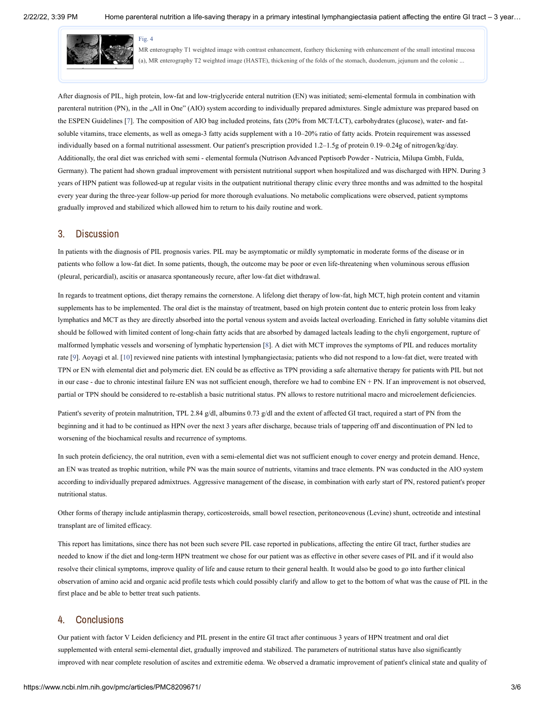

MR enterography T1 weighted image with contrast enhancement, feathery thickening with enhancement of the small intestinal mucosa (a), MR enterography T2 weighted image (HASTE), thickening of the folds of the stomach, duodenum, jejunum and the colonic ...

After diagnosis of PIL, high protein, low-fat and low-triglyceride enteral nutrition (EN) was initiated; semi-elemental formula in combination with parenteral nutrition (PN), in the "All in One" (AIO) system according to individually prepared admixtures. Single admixture was prepared based on the ESPEN Guidelines [\[7\]](#page-6-6). The composition of AIO bag included proteins, fats (20% from MCT/LCT), carbohydrates (glucose), water- and fatsoluble vitamins, trace elements, as well as omega-3 fatty acids supplement with a 10–20% ratio of fatty acids. Protein requirement was assessed individually based on a formal nutritional assessment. Our patient's prescription provided 1.2–1.5g of protein 0.19–0.24g of nitrogen/kg/day. Additionally, the oral diet was enriched with semi - elemental formula (Nutrison Advanced Peptisorb Powder - Nutricia, Milupa Gmbh, Fulda, Germany). The patient had shown gradual improvement with persistent nutritional support when hospitalized and was discharged with HPN. During 3 years of HPN patient was followed-up at regular visits in the outpatient nutritional therapy clinic every three months and was admitted to the hospital every year during the three-year follow-up period for more thorough evaluations. No metabolic complications were observed, patient symptoms gradually improved and stabilized which allowed him to return to his daily routine and work.

### 3. Discussion

In patients with the diagnosis of PIL prognosis varies. PIL may be asymptomatic or mildly symptomatic in moderate forms of the disease or in patients who follow a low-fat diet. In some patients, though, the outcome may be poor or even life-threatening when voluminous serous effusion (pleural, pericardial), ascitis or anasarca spontaneously recure, after low-fat diet withdrawal.

In regards to treatment options, diet therapy remains the cornerstone. A lifelong diet therapy of low-fat, high MCT, high protein content and vitamin supplements has to be implemented. The oral diet is the mainstay of treatment, based on high protein content due to enteric protein loss from leaky lymphatics and MCT as they are directly absorbed into the portal venous system and avoids lacteal overloading. Enriched in fatty soluble vitamins diet should be followed with limited content of long-chain fatty acids that are absorbed by damaged lacteals leading to the chyli engorgement, rupture of malformed lymphatic vessels and worsening of lymphatic hypertension [\[8](#page-6-7)]. A diet with MCT improves the symptoms of PIL and reduces mortality rate [[9\]](#page-6-8). Aoyagi et al. [\[10](#page-7-0)] reviewed nine patients with intestinal lymphangiectasia; patients who did not respond to a low-fat diet, were treated with TPN or EN with elemental diet and polymeric diet. EN could be as effective as TPN providing a safe alternative therapy for patients with PIL but not in our case - due to chronic intestinal failure EN was not sufficient enough, therefore we had to combine EN + PN. If an improvement is not observed, partial or TPN should be considered to re-establish a basic nutritional status. PN allows to restore nutritional macro and microelement deficiencies.

Patient's severity of protein malnutrition, TPL 2.84 g/dl, albumins 0.73 g/dl and the extent of affected GI tract, required a start of PN from the beginning and it had to be continued as HPN over the next 3 years after discharge, because trials of tappering off and discontinuation of PN led to worsening of the biochamical results and recurrence of symptoms.

In such protein deficiency, the oral nutrition, even with a semi-elemental diet was not sufficient enough to cover energy and protein demand. Hence, an EN was treated as trophic nutrition, while PN was the main source of nutrients, vitamins and trace elements. PN was conducted in the AIO system according to individually prepared admixtrues. Aggressive management of the disease, in combination with early start of PN, restored patient's proper nutritional status.

Other forms of therapy include antiplasmin therapy, corticosteroids, small bowel resection, peritoneovenous (Levine) shunt, octreotide and intestinal transplant are of limited efficacy.

This report has limitations, since there has not been such severe PIL case reported in publications, affecting the entire GI tract, further studies are needed to know if the diet and long-term HPN treatment we chose for our patient was as effective in other severe cases of PIL and if it would also resolve their clinical symptoms, improve quality of life and cause return to their general health. It would also be good to go into further clinical observation of amino acid and organic acid profile tests which could possibly clarify and allow to get to the bottom of what was the cause of PIL in the first place and be able to better treat such patients.

### 4. Conclusions

Our patient with factor V Leiden deficiency and PIL present in the entire GI tract after continuous 3 years of HPN treatment and oral diet supplemented with enteral semi-elemental diet, gradually improved and stabilized. The parameters of nutritional status have also significantly improved with near complete resolution of ascites and extremitie edema. We observed a dramatic improvement of patient's clinical state and quality of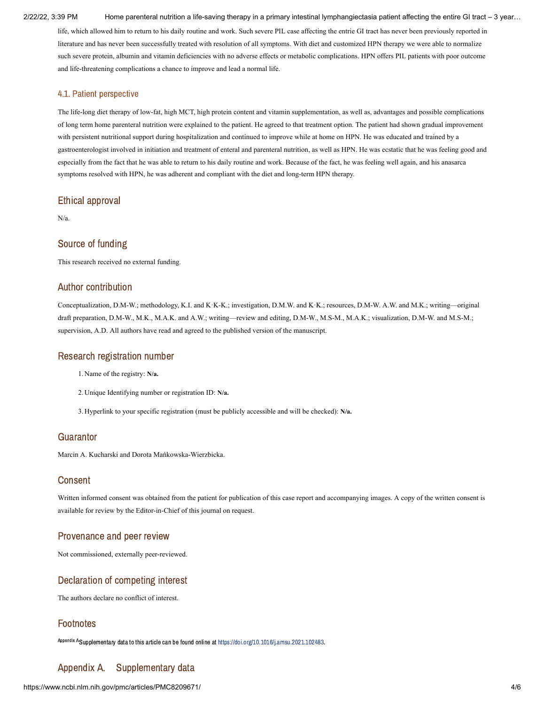life, which allowed him to return to his daily routine and work. Such severe PIL case affecting the entrie GI tract has never been previously reported in literature and has never been successfully treated with resolution of all symptoms. With diet and customized HPN therapy we were able to normalize such severe protein, albumin and vitamin deficiencies with no adverse effects or metabolic complications. HPN offers PIL patients with poor outcome and life-threatening complications a chance to improve and lead a normal life.

### 4.1. Patient perspective

The life-long diet therapy of low-fat, high MCT, high protein content and vitamin supplementation, as well as, advantages and possible complications of long term home parenteral nutrition were explained to the patient. He agreed to that treatment option. The patient had shown gradual improvement with persistent nutritional support during hospitalization and continued to improve while at home on HPN. He was educated and trained by a gastroenterologist involved in initiation and treatment of enteral and parenteral nutrition, as well as HPN. He was ecstatic that he was feeling good and especially from the fact that he was able to return to his daily routine and work. Because of the fact, he was feeling well again, and his anasarca symptoms resolved with HPN, he was adherent and compliant with the diet and long-term HPN therapy.

## Ethical approval

N/a.

### Source of funding

This research received no external funding.

### Author contribution

Conceptualization, D.M-W.; methodology, K.I. and K·K-K.; investigation, D.M.W. and K·K.; resources, D.M-W. A.W. and M.K.; writing—original draft preparation, D.M-W., M.K., M.A.K. and A.W.; writing—review and editing, D.M-W., M.S-M., M.A.K.; visualization, D.M-W. and M.S-M.; supervision, A.D. All authors have read and agreed to the published version of the manuscript.

### Research registration number

- 1. Name of the registry: **N/a.**
- 2. Unique Identifying number or registration ID: **N/a.**
- 3. Hyperlink to your specific registration (must be publicly accessible and will be checked): **N/a.**

### **Guarantor**

Marcin A. Kucharski and Dorota Mańkowska-Wierzbicka.

### **Consent**

Written informed consent was obtained from the patient for publication of this case report and accompanying images. A copy of the written consent is available for review by the Editor-in-Chief of this journal on request.

### Provenance and peer review

Not commissioned, externally peer-reviewed.

## Declaration of competing interest

The authors declare no conflict of interest.

### Footnotes

A<sup>ppendix A</sup>Supplementary data to this article can be found online at <https://doi.org/10.1016/j.amsu.2021.102483>.

# Appendix A. Supplementary data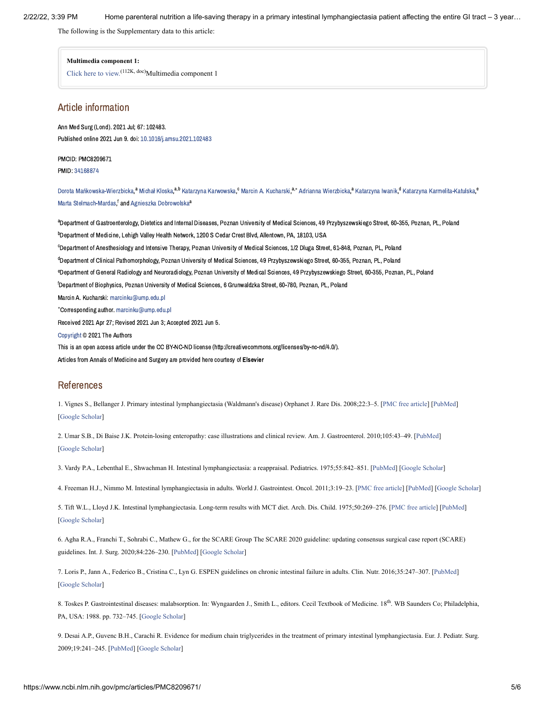The following is the Supplementary data to this article:

### **Multimedia component 1:**

[Click](https://www.ncbi.nlm.nih.gov/pmc/articles/PMC8209671/bin/mmc1.doc) here to view.<sup>(112K, doc)</sup>Multimedia component 1

### Article information

Ann Med Surg (Lond). 2021 Jul; 67: 102483. Published online 2021 Jun 9. doi: [10.1016/j.amsu.2021.102483](https://dx.doi.org/10.1016%2Fj.amsu.2021.102483)

### PMCID: PMC8209671

PMID: [34168874](https://www.ncbi.nlm.nih.gov/pubmed/34168874)

Dorota [Mańkowska-Wierzbicka](https://www.ncbi.nlm.nih.gov/pubmed/?term=Ma%26%23x00144%3Bkowska-Wierzbicka%20D%5BAuthor%5D&cauthor=true&cauthor_uid=34168874).<sup>a</sup> Michał Kloska.<sup>a,b</sup> Katarzyna [Karwowska](https://www.ncbi.nlm.nih.gov/pubmed/?term=Karwowska%20K%5BAuthor%5D&cauthor=true&cauthor_uid=34168874).<sup>c</sup> Marcin A. [Kucharski](https://www.ncbi.nlm.nih.gov/pubmed/?term=Kucharski%20MA%5BAuthor%5D&cauthor=true&cauthor_uid=34168874).<sup>a,</sup>\* Adrianna Wierzbicka.<sup>a</sup> [Katarzyna](https://www.ncbi.nlm.nih.gov/pubmed/?term=Iwanik%20K%5BAuthor%5D&cauthor=true&cauthor_uid=34168874) Iwanik.<sup>d</sup> Katarzyna [Karmelita-Katulska](https://www.ncbi.nlm.nih.gov/pubmed/?term=Karmelita-Katulska%20K%5BAuthor%5D&cauthor=true&cauthor_uid=34168874).<sup>e</sup> Marta [Stelmach-Mardas](https://www.ncbi.nlm.nih.gov/pubmed/?term=Stelmach-Mardas%20M%5BAuthor%5D&cauthor=true&cauthor_uid=34168874), <sup>f</sup> and Agnieszka [Dobrowolska](https://www.ncbi.nlm.nih.gov/pubmed/?term=Dobrowolska%20A%5BAuthor%5D&cauthor=true&cauthor_uid=34168874)<sup>a</sup>

<sup>a</sup>Department of Gastroenterology, Dietetics and Internal Diseases, Poznan University of Medical Sciences, 49 Przybyszewskiego Street, 60-355, Poznan, PL, Poland <sup>b</sup>Department of Medicine, Lehigh Valley Health Network, 1200 S Cedar Crest Blyd, Allentown, PA, 18103, USA <sup>c</sup>Department of Anesthesiology and Intensive Therapy, Poznan University of Medical Sciences, 1/2 Dluga Street, 61-848, Poznan, PL, Poland <sup>d</sup>Department of Clinical Pathomorphology, Poznan University of Medical Sciences, 49 Przybyszewskiego Street, 60-355, Poznan, PL, Poland e<br>Department of General Radiology and Neuroradiology, Poznan University of Medical Sciences, 49 Przybyszewskiego Street, 60-355, Poznan, PL, Poland <sup>f</sup>Department of Biophysics. Poznan University of Medical Sciences. 6 Grunwaldzka Street. 60-780. Poznan, PL. Poland Marcin A. Kucharski: [marcinku@ump.edu.pl](mailto:dev@null) Corresponding author. [marcinku@ump.edu.pl](mailto:dev@null) ∗ Received 2021 Apr 27; Revised 2021 Jun 3; Accepted 2021 Jun 5. [Copyright](https://www.ncbi.nlm.nih.gov/pmc/about/copyright/) © 2021 The Authors This is an open access article under the CC BY-NC-ND license (http://creativecommons.org/licenses/by-nc-nd/4.0/). Articles from Annals of Medicine and Surgery are provided here courtesy of Elsevier

### References

<span id="page-6-0"></span>1. Vignes S., Bellanger J. Primary intestinal lymphangiectasia (Waldmann's disease) Orphanet J. Rare Dis. 2008;22:3–5. [\[PMC free article](https://www.ncbi.nlm.nih.gov/pmc/articles/PMC2288596/?report=reader)] [\[PubMed\]](https://www.ncbi.nlm.nih.gov/pubmed/18294365) [\[Google Scholar](https://scholar.google.com/scholar_lookup?journal=Orphanet+J.+Rare+Dis.&title=Primary+intestinal+lymphangiectasia+(Waldmann%27s+disease)&author=S.+Vignes&author=J.+Bellanger&volume=22&publication_year=2008&pages=3-5&)]

<span id="page-6-1"></span>2. Umar S.B., Di Baise J.K. Protein-losing enteropathy: case illustrations and clinical review. Am. J. Gastroenterol. 2010;105:43–49. [[PubMed](https://www.ncbi.nlm.nih.gov/pubmed/19789526)] [\[Google Scholar](https://scholar.google.com/scholar_lookup?journal=Am.+J.+Gastroenterol.&title=Protein-losing+enteropathy:+case+illustrations+and+clinical+review&author=S.B.+Umar&author=J.K.+Di+Baise&volume=105&publication_year=2010&pages=43-49&pmid=19789526&)]

<span id="page-6-2"></span>3. Vardy P.A., Lebenthal E., Shwachman H. Intestinal lymphangiectasia: a reappraisal. Pediatrics. 1975;55:842–851. [[PubMed](https://www.ncbi.nlm.nih.gov/pubmed/1134884)] [\[Google Scholar\]](https://scholar.google.com/scholar_lookup?journal=Pediatrics&title=Intestinal+lymphangiectasia:+a+reappraisal&author=P.A.+Vardy&author=E.+Lebenthal&author=H.+Shwachman&volume=55&publication_year=1975&pages=842-851&pmid=1134884&)

<span id="page-6-3"></span>4. Freeman H.J., Nimmo M. Intestinal lymphangiectasia in adults. World J. Gastrointest. Oncol. 2011;3:19–23. [[PMC free article\]](https://www.ncbi.nlm.nih.gov/pmc/articles/PMC3046182/?report=reader) [[PubMed](https://www.ncbi.nlm.nih.gov/pubmed/21364842)] [\[Google Scholar\]](https://scholar.google.com/scholar_lookup?journal=World+J.+Gastrointest.+Oncol.&title=Intestinal+lymphangiectasia+in+adults&author=H.J.+Freeman&author=M.+Nimmo&volume=3&publication_year=2011&pages=19-23&pmid=21364842&)

<span id="page-6-4"></span>5. Tift W.L., Lloyd J.K. Intestinal lymphangiectasia. Long-term results with MCT diet. Arch. Dis. Child. 1975;50:269–276. [[PMC free article\]](https://www.ncbi.nlm.nih.gov/pmc/articles/PMC1544468/?report=reader) [[PubMed](https://www.ncbi.nlm.nih.gov/pubmed/50050)] [\[Google Scholar](https://scholar.google.com/scholar_lookup?journal=Arch.+Dis.+Child.&title=Intestinal+lymphangiectasia.+Long-term+results+with+MCT+diet&author=W.L.+Tift&author=J.K.+Lloyd&volume=50&publication_year=1975&pages=269-276&pmid=50050&)]

<span id="page-6-5"></span>6. Agha R.A., Franchi T., Sohrabi C., Mathew G., for the SCARE Group The SCARE 2020 guideline: updating consensus surgical case report (SCARE) guidelines. Int. J. Surg. 2020;84:226–230. [[PubMed\]](https://www.ncbi.nlm.nih.gov/pubmed/33181358) [[Google Scholar](https://scholar.google.com/scholar_lookup?journal=Int.+J.+Surg.&title=The+SCARE+2020+guideline:+updating+consensus+surgical+case+report+(SCARE)+guidelines&author=R.A.+Agha&author=T.+Franchi&author=C.+Sohrabi&author=G.+Mathew&volume=84&publication_year=2020&pages=226-230&pmid=33181358&)]

<span id="page-6-6"></span>7. Loris P., Jann A., Federico B., Cristina C., Lyn G. ESPEN guidelines on chronic intestinal failure in adults. Clin. Nutr. 2016;35:247–307. [[PubMed\]](https://www.ncbi.nlm.nih.gov/pubmed/26944585) [\[Google Scholar](https://scholar.google.com/scholar_lookup?journal=Clin.+Nutr.&title=ESPEN+guidelines+on+chronic+intestinal+failure+in+adults&author=P.+Loris&author=A.+Jann&author=B.+Federico&author=C.+Cristina&author=G.+Lyn&volume=35&publication_year=2016&pages=247-307&pmid=26944585&)]

<span id="page-6-7"></span>8. Toskes P. Gastrointestinal diseases: malabsorption. In: Wyngaarden J., Smith L., editors. Cecil Textbook of Medicine. 18<sup>th</sup>. WB Saunders Co; Philadelphia, PA, USA: 1988. pp. 732–745. [\[Google Scholar\]](https://scholar.google.com/scholar_lookup?title=Cecil+Textbook+of+Medicine.+18th&author=P.+Toskes&publication_year=1988&)

<span id="page-6-8"></span>9. Desai A.P., Guvenc B.H., Carachi R. Evidence for medium chain triglycerides in the treatment of primary intestinal lymphangiectasia. Eur. J. Pediatr. Surg. 2009;19:241–245. [\[PubMed\]](https://www.ncbi.nlm.nih.gov/pubmed/19449286) [\[Google Scholar](https://scholar.google.com/scholar_lookup?journal=Eur.+J.+Pediatr.+Surg.&title=Evidence+for+medium+chain+triglycerides+in+the+treatment+of+primary+intestinal+lymphangiectasia&author=A.P.+Desai&author=B.H.+Guvenc&author=R.+Carachi&volume=19&publication_year=2009&pages=241-245&pmid=19449286&)]